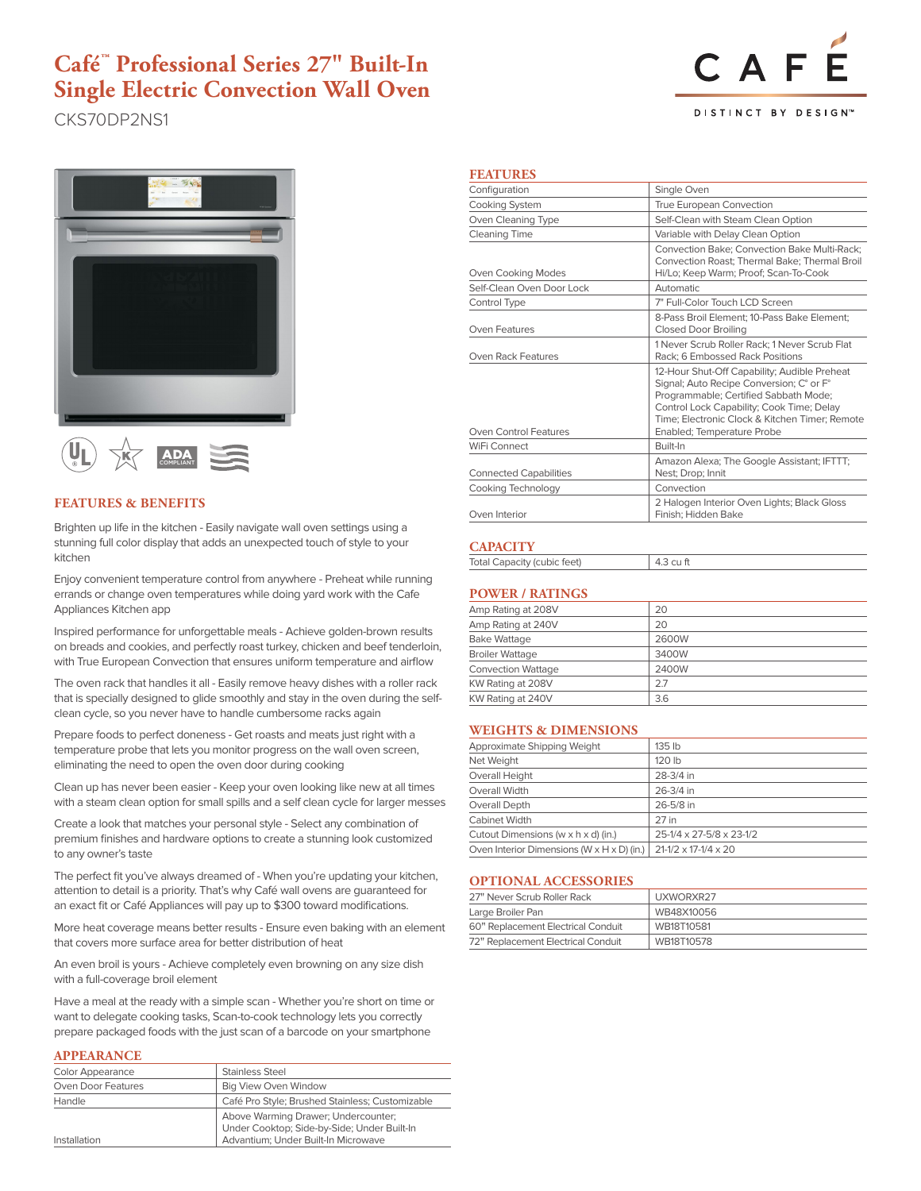## **Café™ Professional Series 27" Built-In Single Electric Convection Wall Oven**

CKS70DP2NS1







### **FEATURES & BENEFITS**

Brighten up life in the kitchen - Easily navigate wall oven settings using a stunning full color display that adds an unexpected touch of style to your kitchen

Enjoy convenient temperature control from anywhere - Preheat while running errands or change oven temperatures while doing yard work with the Cafe Appliances Kitchen app

Inspired performance for unforgettable meals - Achieve golden-brown results on breads and cookies, and perfectly roast turkey, chicken and beef tenderloin, with True European Convection that ensures uniform temperature and airflow

The oven rack that handles it all - Easily remove heavy dishes with a roller rack that is specially designed to glide smoothly and stay in the oven during the selfclean cycle, so you never have to handle cumbersome racks again

Prepare foods to perfect doneness - Get roasts and meats just right with a temperature probe that lets you monitor progress on the wall oven screen, eliminating the need to open the oven door during cooking

Clean up has never been easier - Keep your oven looking like new at all times with a steam clean option for small spills and a self clean cycle for larger messes

Create a look that matches your personal style - Select any combination of premium finishes and hardware options to create a stunning look customized to any owner's taste

The perfect fit you've always dreamed of - When you're updating your kitchen, attention to detail is a priority. That's why Café wall ovens are guaranteed for an exact fit or Café Appliances will pay up to \$300 toward modifications.

More heat coverage means better results - Ensure even baking with an element that covers more surface area for better distribution of heat

An even broil is yours - Achieve completely even browning on any size dish with a full-coverage broil element

Have a meal at the ready with a simple scan - Whether you're short on time or want to delegate cooking tasks, Scan-to-cook technology lets you correctly prepare packaged foods with the just scan of a barcode on your smartphone

#### **APPEARANCE**

| <b>Color Appearance</b> | <b>Stainless Steel</b>                                                             |
|-------------------------|------------------------------------------------------------------------------------|
| Oven Door Features      | <b>Big View Oven Window</b>                                                        |
| Handle                  | Café Pro Style; Brushed Stainless; Customizable                                    |
|                         | Above Warming Drawer; Undercounter;<br>Under Cooktop; Side-by-Side; Under Built-In |
| Installation            | Advantium; Under Built-In Microwave                                                |

### **FEATURES**

| True European Convection                                                                                                                                                                                                                                       |  |
|----------------------------------------------------------------------------------------------------------------------------------------------------------------------------------------------------------------------------------------------------------------|--|
| Self-Clean with Steam Clean Option                                                                                                                                                                                                                             |  |
| Variable with Delay Clean Option                                                                                                                                                                                                                               |  |
| <b>Convection Bake: Convection Bake Multi-Rack:</b><br>Convection Roast; Thermal Bake; Thermal Broil<br>Hi/Lo; Keep Warm; Proof; Scan-To-Cook                                                                                                                  |  |
|                                                                                                                                                                                                                                                                |  |
| 7" Full-Color Touch LCD Screen                                                                                                                                                                                                                                 |  |
| 8-Pass Broil Element: 10-Pass Bake Element:                                                                                                                                                                                                                    |  |
| 1 Never Scrub Roller Rack: 1 Never Scrub Flat<br><b>Rack: 6 Embossed Rack Positions</b>                                                                                                                                                                        |  |
| 12-Hour Shut-Off Capability; Audible Preheat<br>Signal; Auto Recipe Conversion; C° or F°<br>Programmable; Certified Sabbath Mode;<br>Control Lock Capability; Cook Time; Delay<br>Time: Electronic Clock & Kitchen Timer: Remote<br>Enabled; Temperature Probe |  |
|                                                                                                                                                                                                                                                                |  |
| Amazon Alexa; The Google Assistant; IFTTT;                                                                                                                                                                                                                     |  |
|                                                                                                                                                                                                                                                                |  |
| 2 Halogen Interior Oven Lights; Black Gloss                                                                                                                                                                                                                    |  |
|                                                                                                                                                                                                                                                                |  |

### **CAPACITY**

|--|

### **POWER / RATINGS**

| Amp Rating at 208V        | 20    |
|---------------------------|-------|
| Amp Rating at 240V        | 20    |
| <b>Bake Wattage</b>       | 2600W |
| <b>Broiler Wattage</b>    | 3400W |
| <b>Convection Wattage</b> | 2400W |
| KW Rating at 208V         | 2.7   |
| KW Rating at 240V         | 3.6   |

### **WEIGHTS & DIMENSIONS**

| Approximate Shipping Weight                              | 135 <sub>th</sub>                    |
|----------------------------------------------------------|--------------------------------------|
| Net Weight                                               | 120 lb                               |
| Overall Height                                           | 28-3/4 in                            |
| Overall Width                                            | 26-3/4 in                            |
| Overall Depth                                            | 26-5/8 in                            |
| Cabinet Width                                            | 27 in                                |
| Cutout Dimensions (w x h x d) (in.)                      | 25-1/4 x 27-5/8 x 23-1/2             |
| Oven Interior Dimensions (W $\times$ H $\times$ D) (in.) | $21 - 1/2 \times 17 - 1/4 \times 20$ |
|                                                          |                                      |

### **OPTIONAL ACCESSORIES**

| <u>UI IIUINIU INUULUU VIMLU</u>    |            |  |
|------------------------------------|------------|--|
| 27" Never Scrub Roller Rack        | UXWORXR27  |  |
| Large Broiler Pan                  | WB48X10056 |  |
| 60" Replacement Electrical Conduit | WB18T10581 |  |
| 72" Replacement Electrical Conduit | WB18T10578 |  |
|                                    |            |  |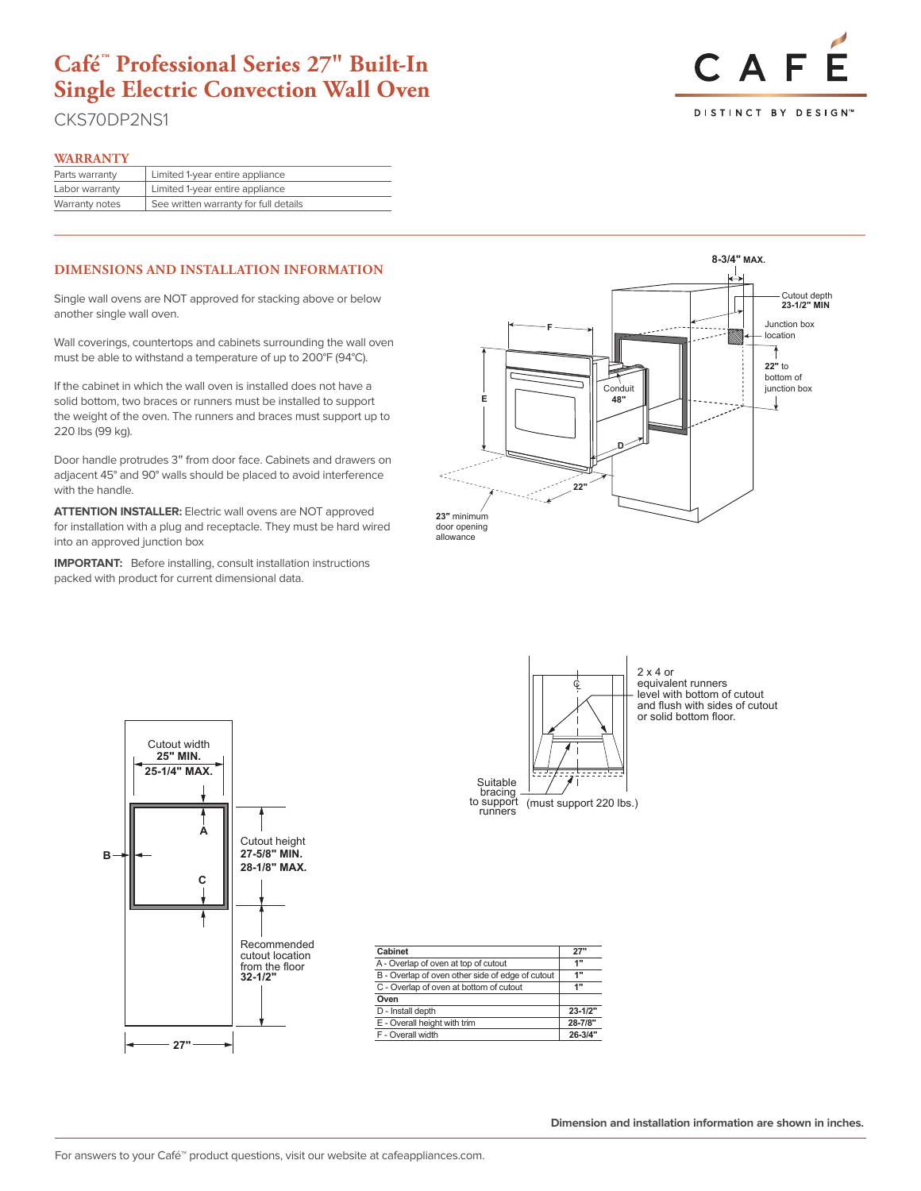## **Café™ Professional Series 27" Built-In Single Electric Convection Wall Oven**

CKS70DP2NS1

# CAF **DISTINCT BY DESIGNT**

### **WARRANTY**

| .              |                                       |
|----------------|---------------------------------------|
| Parts warranty | Limited 1-year entire appliance       |
| Labor warranty | Limited 1-year entire appliance       |
| Warranty notes | See written warranty for full details |
|                |                                       |

### **DIMENSIONS AND INSTALLATION INFORMATION**

Single wall ovens are NOT approved for stacking above or below another single wall oven.

Wall coverings, countertops and cabinets surrounding the wall oven must be able to withstand a temperature of up to 200°F (94°C).

If the cabinet in which the wall oven is installed does not have a solid bottom, two braces or runners must be installed to support the weight of the oven. The runners and braces must support up to 220 lbs (99 kg).

Door handle protrudes 3" from door face. Cabinets and drawers on adjacent 45° and 90° walls should be placed to avoid interference with the handle.

**into an approved junction box ATTENTION INSTALLER:** Electric wall ovens are NOT approved for installation with a plug and receptacle. They must be hard wired

packed with product for current dimensional data. **IMPORTANT:** Before installing, consult installation instructions





**JKS5000DNWW, JKS5000SNSS**



**27-5/8" MIN.**

and flush with sides of cutout  $\begin{array}{|c|c|c|c|c|}\n\hline\n2 x 4 or\n\end{array}$ equivalent runners level with bottom of cutout and flush with sides of cutout or solid bottom floor.

| Cabinet                                          | 27"         |
|--------------------------------------------------|-------------|
| A - Overlap of oven at top of cutout             | 1"          |
| B - Overlap of oven other side of edge of cutout | 1"          |
| C - Overlap of oven at bottom of cutout          | 1"          |
| Oven                                             |             |
| D - Install depth                                | $23 - 1/2"$ |
| E - Overall height with trim                     | 28-7/8"     |
| F - Overall width                                | $26 - 3/4"$ |